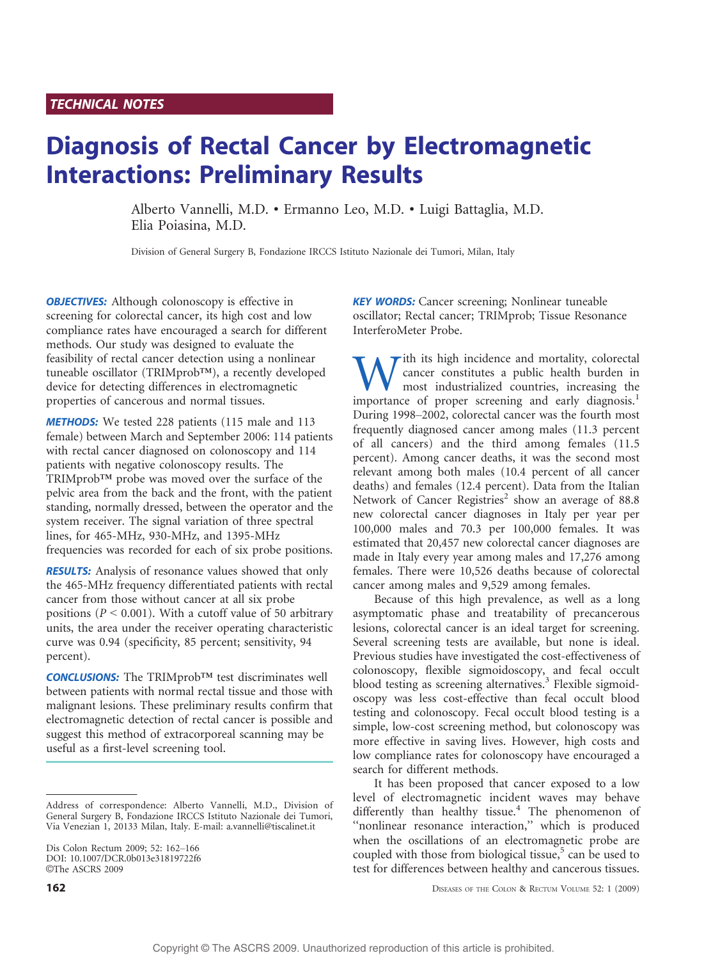## TECHNICAL NOTES

# Diagnosis of Rectal Cancer by Electromagnetic Interactions: Preliminary Results

Alberto Vannelli, M.D. & Ermanno Leo, M.D. & Luigi Battaglia, M.D. Elia Poiasina, M.D.

Division of General Surgery B, Fondazione IRCCS Istituto Nazionale dei Tumori, Milan, Italy

**OBJECTIVES:** Although colonoscopy is effective in screening for colorectal cancer, its high cost and low compliance rates have encouraged a search for different methods. Our study was designed to evaluate the feasibility of rectal cancer detection using a nonlinear tuneable oscillator (TRIMprob<sup>TM</sup>), a recently developed device for detecting differences in electromagnetic properties of cancerous and normal tissues.

**METHODS:** We tested 228 patients (115 male and 113 female) between March and September 2006: 114 patients with rectal cancer diagnosed on colonoscopy and 114 patients with negative colonoscopy results. The TRIMprob<sup>TM</sup> probe was moved over the surface of the pelvic area from the back and the front, with the patient standing, normally dressed, between the operator and the system receiver. The signal variation of three spectral lines, for 465-MHz, 930-MHz, and 1395-MHz frequencies was recorded for each of six probe positions.

**RESULTS:** Analysis of resonance values showed that only the 465-MHz frequency differentiated patients with rectal cancer from those without cancer at all six probe positions ( $P \le 0.001$ ). With a cutoff value of 50 arbitrary units, the area under the receiver operating characteristic curve was 0.94 (specificity, 85 percent; sensitivity, 94 percent).

CONCLUSIONS: The TRIMprob<sup>TM</sup> test discriminates well between patients with normal rectal tissue and those with malignant lesions. These preliminary results confirm that electromagnetic detection of rectal cancer is possible and suggest this method of extracorporeal scanning may be useful as a first-level screening tool.

**KEY WORDS:** Cancer screening; Nonlinear tuneable oscillator; Rectal cancer; TRIMprob; Tissue Resonance InterferoMeter Probe.

With its high incidence and mortality, colorectal<br>most constitutes a public health burden in<br>mortance of proper screening and early diagnosis<sup>1</sup> cancer constitutes a public health burden in most industrialized countries, increasing the importance of proper screening and early diagnosis.<sup>1</sup> During 1998–2002, colorectal cancer was the fourth most frequently diagnosed cancer among males (11.3 percent of all cancers) and the third among females (11.5 percent). Among cancer deaths, it was the second most relevant among both males (10.4 percent of all cancer deaths) and females (12.4 percent). Data from the Italian Network of Cancer Registries<sup>2</sup> show an average of  $88.8$ new colorectal cancer diagnoses in Italy per year per 100,000 males and 70.3 per 100,000 females. It was estimated that 20,457 new colorectal cancer diagnoses are made in Italy every year among males and 17,276 among females. There were 10,526 deaths because of colorectal cancer among males and 9,529 among females.

Because of this high prevalence, as well as a long asymptomatic phase and treatability of precancerous lesions, colorectal cancer is an ideal target for screening. Several screening tests are available, but none is ideal. Previous studies have investigated the cost-effectiveness of colonoscopy, flexible sigmoidoscopy, and fecal occult blood testing as screening alternatives.<sup>3</sup> Flexible sigmoidoscopy was less cost-effective than fecal occult blood testing and colonoscopy. Fecal occult blood testing is a simple, low-cost screening method, but colonoscopy was more effective in saving lives. However, high costs and low compliance rates for colonoscopy have encouraged a search for different methods.

It has been proposed that cancer exposed to a low level of electromagnetic incident waves may behave differently than healthy tissue.<sup>4</sup> The phenomenon of "nonlinear resonance interaction," which is produced when the oscillations of an electromagnetic probe are coupled with those from biological tissue, $5$  can be used to test for differences between healthy and cancerous tissues.

**162** DISEASES OF THE COLON & RECTUM VOLUME 52: 1 (2009)

Address of correspondence: Alberto Vannelli, M.D., Division of General Surgery B, Fondazione IRCCS Istituto Nazionale dei Tumori, Via Venezian 1, 20133 Milan, Italy. E-mail: a.vannelli@tiscalinet.it

Dis Colon Rectum 2009; 52: 162-166 DOI: 10.1007/DCR.0b013e31819722f6 ©The ASCRS 2009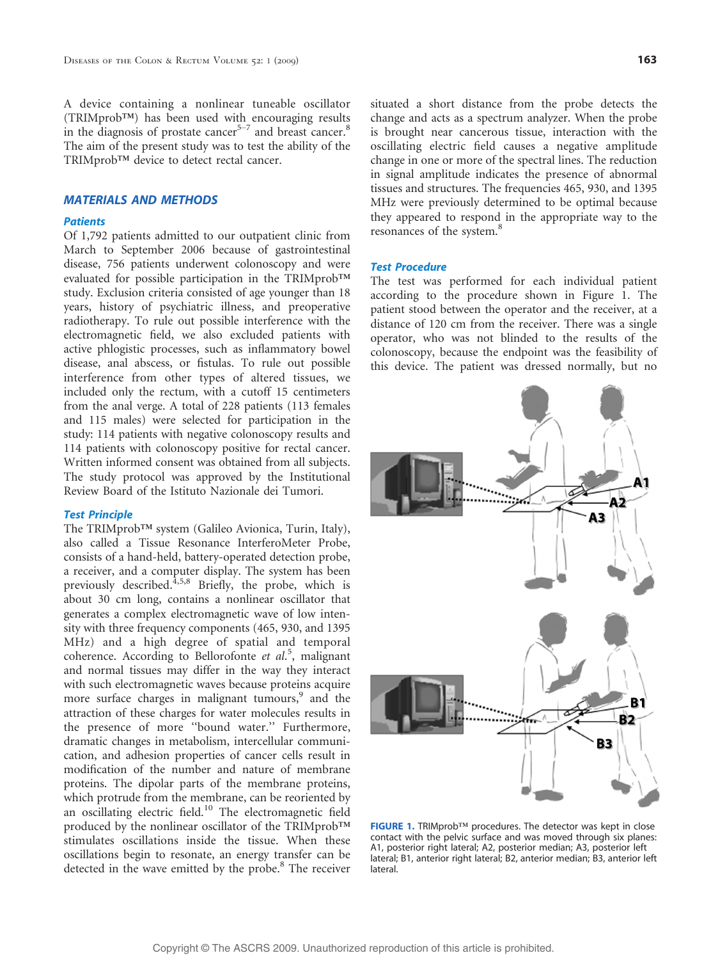A device containing a nonlinear tuneable oscillator  $(TRIMprob^{TM})$  has been used with encouraging results in the diagnosis of prostate cancer $5-7$  and breast cancer.<sup>8</sup> The aim of the present study was to test the ability of the TRIMprob<sup>TM</sup> device to detect rectal cancer.

## MATERIALS AND METHODS

## **Patients**

Of 1,792 patients admitted to our outpatient clinic from March to September 2006 because of gastrointestinal disease, 756 patients underwent colonoscopy and were evaluated for possible participation in the TRIMprob<sup>TM</sup> study. Exclusion criteria consisted of age younger than 18 years, history of psychiatric illness, and preoperative radiotherapy. To rule out possible interference with the electromagnetic field, we also excluded patients with active phlogistic processes, such as inflammatory bowel disease, anal abscess, or fistulas. To rule out possible interference from other types of altered tissues, we included only the rectum, with a cutoff 15 centimeters from the anal verge. A total of 228 patients (113 females and 115 males) were selected for participation in the study: 114 patients with negative colonoscopy results and 114 patients with colonoscopy positive for rectal cancer. Written informed consent was obtained from all subjects. The study protocol was approved by the Institutional Review Board of the Istituto Nazionale dei Tumori.

#### Test Principle

The TRIMprob<sup>TM</sup> system (Galileo Avionica, Turin, Italy), also called a Tissue Resonance InterferoMeter Probe, consists of a hand-held, battery-operated detection probe, a receiver, and a computer display. The system has been previously described.<sup>4,5,8</sup> Briefly, the probe, which is about 30 cm long, contains a nonlinear oscillator that generates a complex electromagnetic wave of low intensity with three frequency components (465, 930, and 1395 MHz) and a high degree of spatial and temporal coherence. According to Bellorofonte et al.<sup>5</sup>, malignant and normal tissues may differ in the way they interact with such electromagnetic waves because proteins acquire more surface charges in malignant tumours,<sup>9</sup> and the attraction of these charges for water molecules results in the presence of more ''bound water.'' Furthermore, dramatic changes in metabolism, intercellular communication, and adhesion properties of cancer cells result in modification of the number and nature of membrane proteins. The dipolar parts of the membrane proteins, which protrude from the membrane, can be reoriented by an oscillating electric field.<sup>10</sup> The electromagnetic field produced by the nonlinear oscillator of the TRIMprob<sup>TM</sup> stimulates oscillations inside the tissue. When these oscillations begin to resonate, an energy transfer can be detected in the wave emitted by the probe.<sup>8</sup> The receiver

situated a short distance from the probe detects the change and acts as a spectrum analyzer. When the probe is brought near cancerous tissue, interaction with the oscillating electric field causes a negative amplitude change in one or more of the spectral lines. The reduction in signal amplitude indicates the presence of abnormal tissues and structures. The frequencies 465, 930, and 1395 MHz were previously determined to be optimal because they appeared to respond in the appropriate way to the resonances of the system.<sup>8</sup>

## Test Procedure

The test was performed for each individual patient according to the procedure shown in Figure 1. The patient stood between the operator and the receiver, at a distance of 120 cm from the receiver. There was a single operator, who was not blinded to the results of the colonoscopy, because the endpoint was the feasibility of this device. The patient was dressed normally, but no



FIGURE 1. TRIMprob<sup>TM</sup> procedures. The detector was kept in close contact with the pelvic surface and was moved through six planes: A1, posterior right lateral; A2, posterior median; A3, posterior left lateral; B1, anterior right lateral; B2, anterior median; B3, anterior left lateral.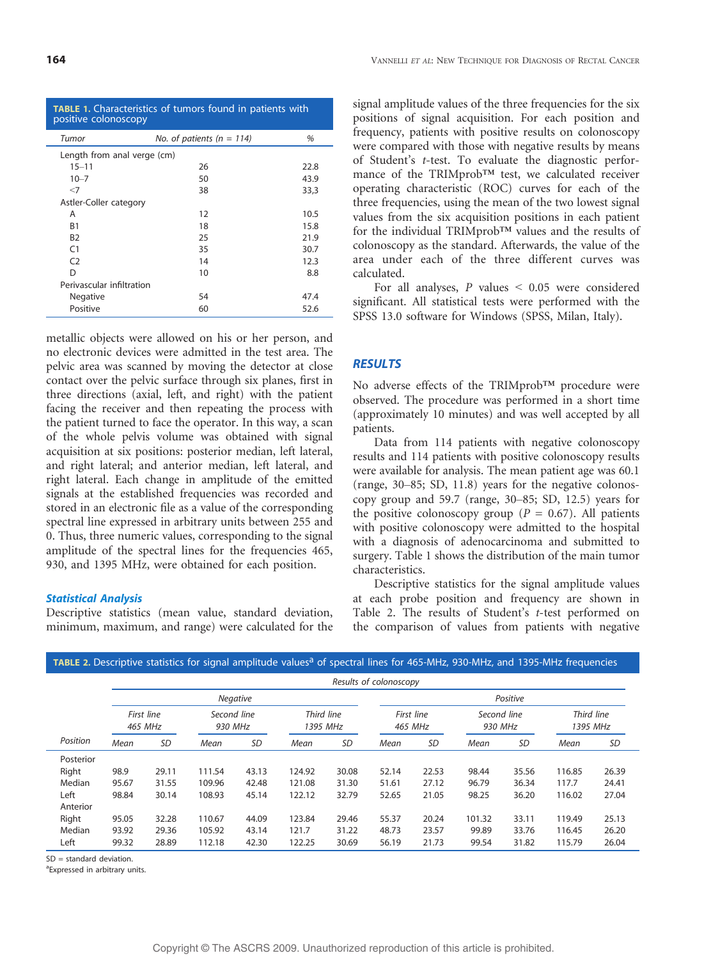| <b>TABLE 1.</b> Characteristics of tumors found in patients with |  |  |  |
|------------------------------------------------------------------|--|--|--|
| positive colonoscopy                                             |  |  |  |

| Tumor                       | No. of patients ( $n = 114$ ) | %    |  |  |  |  |  |
|-----------------------------|-------------------------------|------|--|--|--|--|--|
| Length from anal verge (cm) |                               |      |  |  |  |  |  |
| $15 - 11$                   | 26                            | 22.8 |  |  |  |  |  |
| $10 - 7$                    | 50                            | 43.9 |  |  |  |  |  |
| $<$ 7                       | 38                            | 33,3 |  |  |  |  |  |
| Astler-Coller category      |                               |      |  |  |  |  |  |
| Α                           | 12                            | 10.5 |  |  |  |  |  |
| <b>B1</b>                   | 18                            | 15.8 |  |  |  |  |  |
| <b>B2</b>                   | 25                            | 21.9 |  |  |  |  |  |
| C <sub>1</sub>              | 35                            | 30.7 |  |  |  |  |  |
| C <sub>2</sub>              | 14                            | 12.3 |  |  |  |  |  |
| D                           | 10                            | 8.8  |  |  |  |  |  |
| Perivascular infiltration   |                               |      |  |  |  |  |  |
| <b>Negative</b>             | 54                            | 47.4 |  |  |  |  |  |
| Positive                    | 60                            | 52.6 |  |  |  |  |  |

metallic objects were allowed on his or her person, and no electronic devices were admitted in the test area. The pelvic area was scanned by moving the detector at close contact over the pelvic surface through six planes, first in three directions (axial, left, and right) with the patient facing the receiver and then repeating the process with the patient turned to face the operator. In this way, a scan of the whole pelvis volume was obtained with signal acquisition at six positions: posterior median, left lateral, and right lateral; and anterior median, left lateral, and right lateral. Each change in amplitude of the emitted signals at the established frequencies was recorded and stored in an electronic file as a value of the corresponding spectral line expressed in arbitrary units between 255 and 0. Thus, three numeric values, corresponding to the signal amplitude of the spectral lines for the frequencies 465, 930, and 1395 MHz, were obtained for each position.

#### Statistical Analysis

Descriptive statistics (mean value, standard deviation, minimum, maximum, and range) were calculated for the signal amplitude values of the three frequencies for the six positions of signal acquisition. For each position and frequency, patients with positive results on colonoscopy were compared with those with negative results by means of Student's t-test. To evaluate the diagnostic performance of the TRIMprob<sup>TM</sup> test, we calculated receiver operating characteristic (ROC) curves for each of the three frequencies, using the mean of the two lowest signal values from the six acquisition positions in each patient for the individual TRIMprob<sup>TM</sup> values and the results of colonoscopy as the standard. Afterwards, the value of the area under each of the three different curves was calculated.

For all analyses,  $P$  values  $\leq 0.05$  were considered significant. All statistical tests were performed with the SPSS 13.0 software for Windows (SPSS, Milan, Italy).

#### RESULTS

No adverse effects of the TRIMprob<sup>TM</sup> procedure were observed. The procedure was performed in a short time (approximately 10 minutes) and was well accepted by all patients.

Data from 114 patients with negative colonoscopy results and 114 patients with positive colonoscopy results were available for analysis. The mean patient age was 60.1 (range,  $30-85$ ; SD, 11.8) years for the negative colonoscopy group and  $59.7$  (range,  $30-85$ ; SD, 12.5) years for the positive colonoscopy group ( $P = 0.67$ ). All patients with positive colonoscopy were admitted to the hospital with a diagnosis of adenocarcinoma and submitted to surgery. Table 1 shows the distribution of the main tumor characteristics.

Descriptive statistics for the signal amplitude values at each probe position and frequency are shown in Table 2. The results of Student's t-test performed on the comparison of values from patients with negative

|           | Results of colonoscopy |                              |                                                  |           |                       |           |                        |           |                        |           |        |           |
|-----------|------------------------|------------------------------|--------------------------------------------------|-----------|-----------------------|-----------|------------------------|-----------|------------------------|-----------|--------|-----------|
|           |                        | <b>Negative</b>              |                                                  |           |                       |           |                        | Positive  |                        |           |        |           |
|           |                        | First line<br><b>465 MHz</b> | Third line<br>Second line<br>930 MHz<br>1395 MHz |           | First line<br>465 MHz |           | Second line<br>930 MHz |           | Third line<br>1395 MHz |           |        |           |
| Position  | Mean                   | <b>SD</b>                    | Mean                                             | <b>SD</b> | Mean                  | <b>SD</b> | Mean                   | <b>SD</b> | Mean                   | <b>SD</b> | Mean   | <b>SD</b> |
| Posterior |                        |                              |                                                  |           |                       |           |                        |           |                        |           |        |           |
| Right     | 98.9                   | 29.11                        | 111.54                                           | 43.13     | 124.92                | 30.08     | 52.14                  | 22.53     | 98.44                  | 35.56     | 116.85 | 26.39     |
| Median    | 95.67                  | 31.55                        | 109.96                                           | 42.48     | 121.08                | 31.30     | 51.61                  | 27.12     | 96.79                  | 36.34     | 117.7  | 24.41     |
| Left      | 98.84                  | 30.14                        | 108.93                                           | 45.14     | 122.12                | 32.79     | 52.65                  | 21.05     | 98.25                  | 36.20     | 116.02 | 27.04     |
| Anterior  |                        |                              |                                                  |           |                       |           |                        |           |                        |           |        |           |
| Right     | 95.05                  | 32.28                        | 110.67                                           | 44.09     | 123.84                | 29.46     | 55.37                  | 20.24     | 101.32                 | 33.11     | 119.49 | 25.13     |
| Median    | 93.92                  | 29.36                        | 105.92                                           | 43.14     | 121.7                 | 31.22     | 48.73                  | 23.57     | 99.89                  | 33.76     | 116.45 | 26.20     |
| Left      | 99.32                  | 28.89                        | 112.18                                           | 42.30     | 122.25                | 30.69     | 56.19                  | 21.73     | 99.54                  | 31.82     | 115.79 | 26.04     |

#### TABLE 2. Descriptive statistics for signal amplitude values<sup>a</sup> of spectral lines for 465-MHz, 930-MHz, and 1395-MHz frequencies

SD = standard deviation.

<sup>a</sup> Expressed in arbitrary units.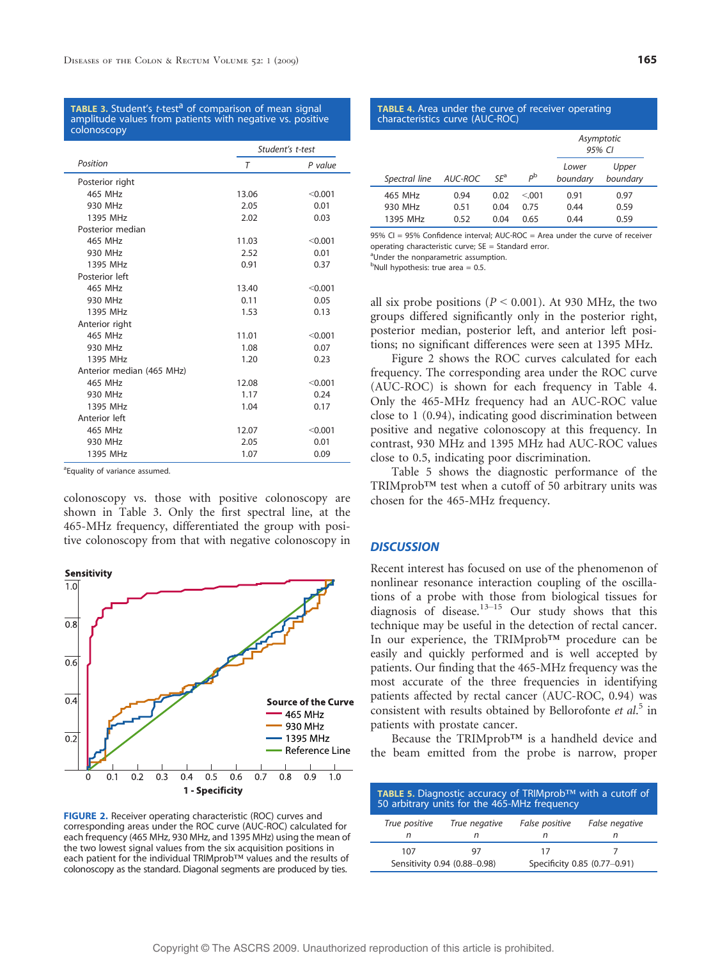TABLE 3. Student's t-test<sup>a</sup> of comparison of mean signal amplitude values from patients with negative vs. positive colonoscopy

|                           | Student's t-test |         |  |
|---------------------------|------------------|---------|--|
| Position                  | $\tau$           | P value |  |
| Posterior right           |                  |         |  |
| 465 MHz                   | 13.06            | < 0.001 |  |
| 930 MHz                   | 2.05             | 0.01    |  |
| 1395 MHz                  | 2.02             | 0.03    |  |
| Posterior median          |                  |         |  |
| 465 MHz                   | 11.03            | < 0.001 |  |
| 930 MHz                   | 2.52             | 0.01    |  |
| 1395 MHz                  | 0.91             | 0.37    |  |
| Posterior left            |                  |         |  |
| 465 MHz                   | 13.40            | < 0.001 |  |
| 930 MHz                   | 0.11             | 0.05    |  |
| 1395 MHz                  | 1.53             | 0.13    |  |
| Anterior right            |                  |         |  |
| 465 MHz                   | 11.01            | < 0.001 |  |
| 930 MHz                   | 1.08             | 0.07    |  |
| 1395 MHz                  | 1.20             | 0.23    |  |
| Anterior median (465 MHz) |                  |         |  |
| 465 MHz                   | 12.08            | < 0.001 |  |
| 930 MHz                   | 1.17             | 0.24    |  |
| 1395 MHz                  | 1.04             | 0.17    |  |
| Anterior left             |                  |         |  |
| 465 MHz                   | 12.07            | < 0.001 |  |
| 930 MHz                   | 2.05             | 0.01    |  |
| 1395 MHz                  | 1.07             | 0.09    |  |

<sup>a</sup> Equality of variance assumed.

colonoscopy vs. those with positive colonoscopy are shown in Table 3. Only the first spectral line, at the 465-MHz frequency, differentiated the group with positive colonoscopy from that with negative colonoscopy in



FIGURE 2. Receiver operating characteristic (ROC) curves and corresponding areas under the ROC curve (AUC-ROC) calculated for each frequency (465 MHz, 930 MHz, and 1395 MHz) using the mean of the two lowest signal values from the six acquisition positions in each patient for the individual TRIMprob™ values and the results of colonoscopy as the standard. Diagonal segments are produced by ties.

| ۰,<br>I<br>w<br>۰.<br>. .<br>۰. |
|---------------------------------|
|                                 |

| <b>TABLE 4.</b> Area under the curve of receiver operating<br>characteristics curve (AUC-ROC) |                      |                      |                        |                      |                      |  |  |
|-----------------------------------------------------------------------------------------------|----------------------|----------------------|------------------------|----------------------|----------------------|--|--|
|                                                                                               |                      |                      |                        |                      | Asymptotic<br>95% CI |  |  |
| Spectral line                                                                                 | AUC-ROC              | $SE^a$               | $P^{\rm b}$            | Lower<br>boundary    | Upper<br>boundary    |  |  |
| 465 MHz<br>930 MHz<br>1395 MHz                                                                | 0.94<br>0.51<br>0.52 | 0.02<br>0.04<br>0.04 | < 0.01<br>0.75<br>0.65 | 0.91<br>0.44<br>0.44 | 0.97<br>0.59<br>0.59 |  |  |

95% CI = 95% Confidence interval: AUC-ROC = Area under the curve of receiver operating characteristic curve;  $SE = Standard$  error.

<sup>a</sup>Under the nonparametric assumption.

<sup>b</sup>Null hypothesis: true area = 0.5.

all six probe positions ( $P < 0.001$ ). At 930 MHz, the two groups differed significantly only in the posterior right, posterior median, posterior left, and anterior left positions; no significant differences were seen at 1395 MHz.

Figure 2 shows the ROC curves calculated for each frequency. The corresponding area under the ROC curve (AUC-ROC) is shown for each frequency in Table 4. Only the 465-MHz frequency had an AUC-ROC value close to 1 (0.94), indicating good discrimination between positive and negative colonoscopy at this frequency. In contrast, 930 MHz and 1395 MHz had AUC-ROC values close to 0.5, indicating poor discrimination.

Table 5 shows the diagnostic performance of the  $TRIMprob^{TM}$  test when a cutoff of 50 arbitrary units was chosen for the 465-MHz frequency.

#### **DISCUSSION**

Recent interest has focused on use of the phenomenon of nonlinear resonance interaction coupling of the oscillations of a probe with those from biological tissues for diagnosis of disease.<sup>13-15</sup> Our study shows that this technique may be useful in the detection of rectal cancer. In our experience, the TRIMprob<sup>TM</sup> procedure can be easily and quickly performed and is well accepted by patients. Our finding that the 465-MHz frequency was the most accurate of the three frequencies in identifying patients affected by rectal cancer (AUC-ROC, 0.94) was consistent with results obtained by Bellorofonte et al.<sup>5</sup> in patients with prostate cancer.

Because the TRIMprob<sup>TM</sup> is a handheld device and the beam emitted from the probe is narrow, proper

| TABLE 5. Diagnostic accuracy of TRIMprob™ with a cutoff of<br>50 arbitrary units for the 465-MHz frequency |               |                |                |  |  |  |
|------------------------------------------------------------------------------------------------------------|---------------|----------------|----------------|--|--|--|
| True positive                                                                                              | True negative | False positive | False negative |  |  |  |
| n                                                                                                          | n             |                | n              |  |  |  |
| 107                                                                                                        |               | 17             |                |  |  |  |
| Specificity 0.85 (0.77-0.91)<br>Sensitivity 0.94 (0.88-0.98)                                               |               |                |                |  |  |  |